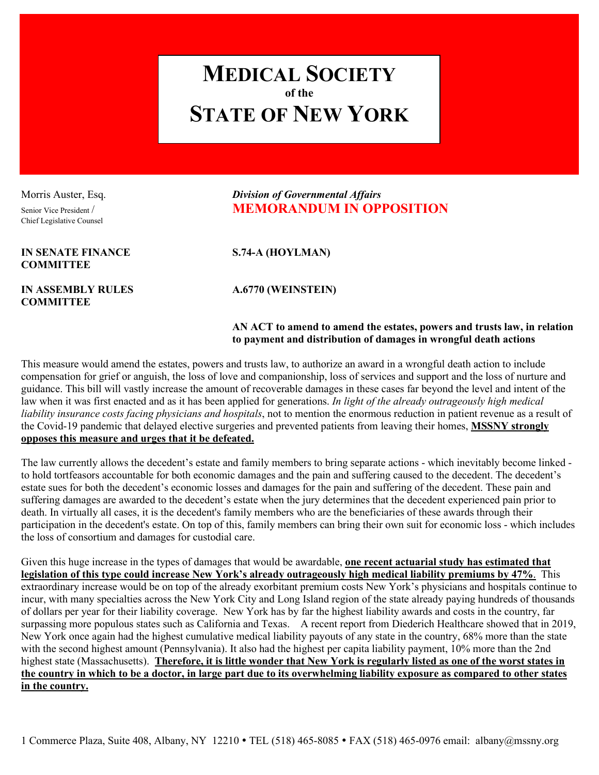

Chief Legislative Counsel

**IN SENATE FINANCE S.74-A (HOYLMAN) COMMITTEE** 

**IN ASSEMBLY RULES A.6770 (WEINSTEIN) COMMITTEE** 

## Morris Auster, Esq. *Division of Governmental Affairs* Senior Vice President / **MEMORANDUM IN OPPOSITION**

## **AN ACT to amend to amend the estates, powers and trusts law, in relation to payment and distribution of damages in wrongful death actions**

This measure would amend the estates, powers and trusts law, to authorize an award in a wrongful death action to include compensation for grief or anguish, the loss of love and companionship, loss of services and support and the loss of nurture and guidance. This bill will vastly increase the amount of recoverable damages in these cases far beyond the level and intent of the law when it was first enacted and as it has been applied for generations. *In light of the already outrageously high medical liability insurance costs facing physicians and hospitals*, not to mention the enormous reduction in patient revenue as a result of the Covid-19 pandemic that delayed elective surgeries and prevented patients from leaving their homes, **MSSNY strongly opposes this measure and urges that it be defeated.** 

The law currently allows the decedent's estate and family members to bring separate actions - which inevitably become linked to hold tortfeasors accountable for both economic damages and the pain and suffering caused to the decedent. The decedent's estate sues for both the decedent's economic losses and damages for the pain and suffering of the decedent. These pain and suffering damages are awarded to the decedent's estate when the jury determines that the decedent experienced pain prior to death. In virtually all cases, it is the decedent's family members who are the beneficiaries of these awards through their participation in the decedent's estate. On top of this, family members can bring their own suit for economic loss - which includes the loss of consortium and damages for custodial care.

Given this huge increase in the types of damages that would be awardable, **one recent actuarial study has estimated that legislation of this type could increase New York's already outrageously high medical liability premiums by 47%**. This extraordinary increase would be on top of the already exorbitant premium costs New York's physicians and hospitals continue to incur, with many specialties across the New York City and Long Island region of the state already paying hundreds of thousands of dollars per year for their liability coverage. New York has by far the highest liability awards and costs in the country, far surpassing more populous states such as California and Texas. A recent report from Diederich Healthcare showed that in 2019, New York once again had the highest cumulative medical liability payouts of any state in the country, 68% more than the state with the second highest amount (Pennsylvania). It also had the highest per capita liability payment, 10% more than the 2nd highest state (Massachusetts). **Therefore, it is little wonder that New York is regularly listed as one of the worst states in the country in which to be a doctor, in large part due to its overwhelming liability exposure as compared to other states in the country.**